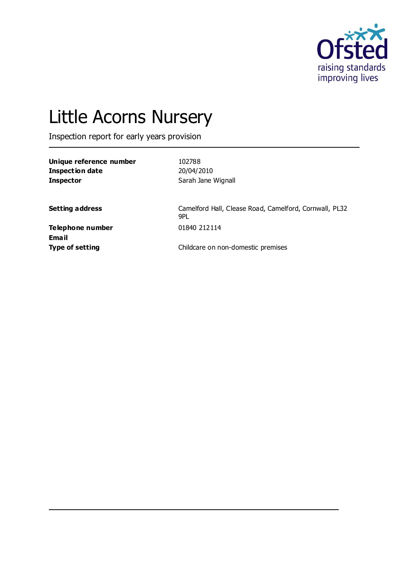

# Little Acorns Nursery

Inspection report for early years provision

| Unique reference number | 102788             |
|-------------------------|--------------------|
| Inspection date         | 20/04/2010         |
| <b>Inspector</b>        | Sarah Jane Wignall |

Setting address **Setting address** Camelford Hall, Clease Road, Camelford, Cornwall, PL32 9PL

**Telephone number** 01840 212114 **Email**

**Type of setting** Type of setting **Childcare on non-domestic premises**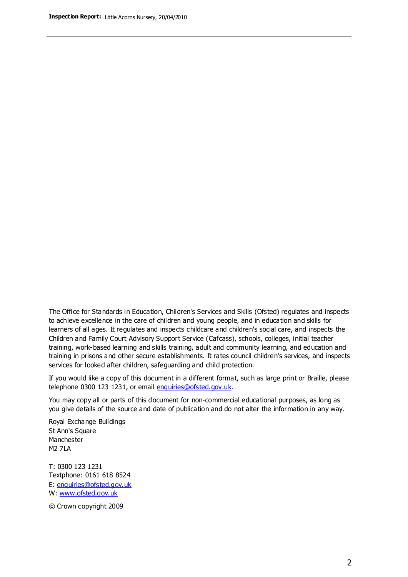The Office for Standards in Education, Children's Services and Skills (Ofsted) regulates and inspects to achieve excellence in the care of children and young people, and in education and skills for learners of all ages. It regulates and inspects childcare and children's social care, and inspects the Children and Family Court Advisory Support Service (Cafcass), schools, colleges, initial teacher training, work-based learning and skills training, adult and community learning, and education and training in prisons and other secure establishments. It rates council children's services, and inspects services for looked after children, safeguarding and child protection.

If you would like a copy of this document in a different format, such as large print or Braille, please telephone 0300 123 1231, or email enquiries@ofsted.gov.uk.

You may copy all or parts of this document for non-commercial educational purposes, as long as you give details of the source and date of publication and do not alter the information in any way.

Royal Exchange Buildings St Ann's Square Manchester M2 7LA

T: 0300 123 1231 Textphone: 0161 618 8524 E: enquiries@ofsted.gov.uk W: [www.ofsted.gov.uk](http://www.ofsted.gov.uk/)

© Crown copyright 2009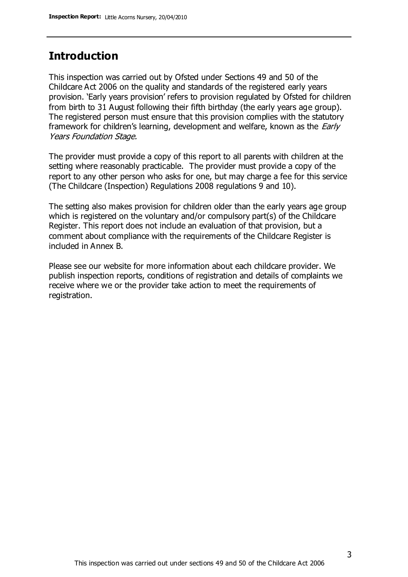## **Introduction**

This inspection was carried out by Ofsted under Sections 49 and 50 of the Childcare Act 2006 on the quality and standards of the registered early years provision. 'Early years provision' refers to provision regulated by Ofsted for children from birth to 31 August following their fifth birthday (the early years age group). The registered person must ensure that this provision complies with the statutory framework for children's learning, development and welfare, known as the *Early* Years Foundation Stage.

The provider must provide a copy of this report to all parents with children at the setting where reasonably practicable. The provider must provide a copy of the report to any other person who asks for one, but may charge a fee for this service (The Childcare (Inspection) Regulations 2008 regulations 9 and 10).

The setting also makes provision for children older than the early years age group which is registered on the voluntary and/or compulsory part(s) of the Childcare Register. This report does not include an evaluation of that provision, but a comment about compliance with the requirements of the Childcare Register is included in Annex B.

Please see our website for more information about each childcare provider. We publish inspection reports, conditions of registration and details of complaints we receive where we or the provider take action to meet the requirements of registration.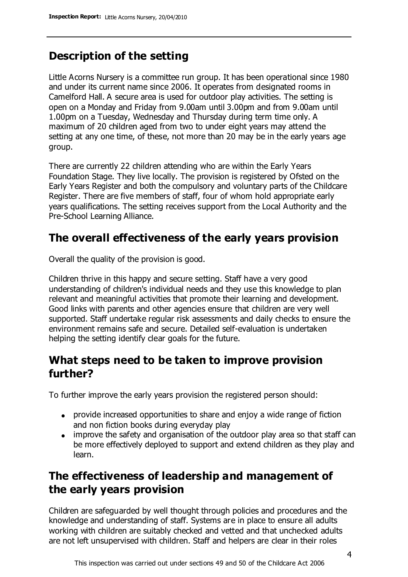# **Description of the setting**

Little Acorns Nursery is a committee run group. It has been operational since 1980 and under its current name since 2006. It operates from designated rooms in Camelford Hall. A secure area is used for outdoor play activities. The setting is open on a Monday and Friday from 9.00am until 3.00pm and from 9.00am until 1.00pm on a Tuesday, Wednesday and Thursday during term time only. A maximum of 20 children aged from two to under eight years may attend the setting at any one time, of these, not more than 20 may be in the early years age group.

There are currently 22 children attending who are within the Early Years Foundation Stage. They live locally. The provision is registered by Ofsted on the Early Years Register and both the compulsory and voluntary parts of the Childcare Register. There are five members of staff, four of whom hold appropriate early years qualifications. The setting receives support from the Local Authority and the Pre-School Learning Alliance.

# **The overall effectiveness of the early years provision**

Overall the quality of the provision is good.

Children thrive in this happy and secure setting. Staff have a very good understanding of children's individual needs and they use this knowledge to plan relevant and meaningful activities that promote their learning and development. Good links with parents and other agencies ensure that children are very well supported. Staff undertake regular risk assessments and daily checks to ensure the environment remains safe and secure. Detailed self-evaluation is undertaken helping the setting identify clear goals for the future.

## **What steps need to be taken to improve provision further?**

To further improve the early years provision the registered person should:

- provide increased opportunities to share and enjoy a wide range of fiction and non fiction books during everyday play
- improve the safety and organisation of the outdoor play area so that staff can be more effectively deployed to support and extend children as they play and learn.

# **The effectiveness of leadership and management of the early years provision**

Children are safeguarded by well thought through policies and procedures and the knowledge and understanding of staff. Systems are in place to ensure all adults working with children are suitably checked and vetted and that unchecked adults are not left unsupervised with children. Staff and helpers are clear in their roles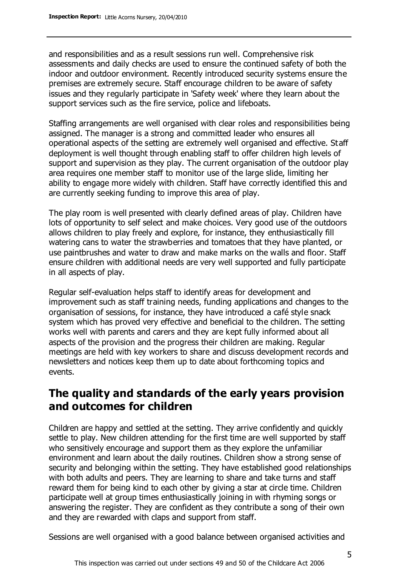and responsibilities and as a result sessions run well. Comprehensive risk assessments and daily checks are used to ensure the continued safety of both the indoor and outdoor environment. Recently introduced security systems ensure the premises are extremely secure. Staff encourage children to be aware of safety issues and they regularly participate in 'Safety week' where they learn about the support services such as the fire service, police and lifeboats.

Staffing arrangements are well organised with clear roles and responsibilities being assigned. The manager is a strong and committed leader who ensures all operational aspects of the setting are extremely well organised and effective. Staff deployment is well thought through enabling staff to offer children high levels of support and supervision as they play. The current organisation of the outdoor play area requires one member staff to monitor use of the large slide, limiting her ability to engage more widely with children. Staff have correctly identified this and are currently seeking funding to improve this area of play.

The play room is well presented with clearly defined areas of play. Children have lots of opportunity to self select and make choices. Very good use of the outdoors allows children to play freely and explore, for instance, they enthusiastically fill watering cans to water the strawberries and tomatoes that they have planted, or use paintbrushes and water to draw and make marks on the walls and floor. Staff ensure children with additional needs are very well supported and fully participate in all aspects of play.

Regular self-evaluation helps staff to identify areas for development and improvement such as staff training needs, funding applications and changes to the organisation of sessions, for instance, they have introduced a café style snack system which has proved very effective and beneficial to the children. The setting works well with parents and carers and they are kept fully informed about all aspects of the provision and the progress their children are making. Regular meetings are held with key workers to share and discuss development records and newsletters and notices keep them up to date about forthcoming topics and events.

## **The quality and standards of the early years provision and outcomes for children**

Children are happy and settled at the setting. They arrive confidently and quickly settle to play. New children attending for the first time are well supported by staff who sensitively encourage and support them as they explore the unfamiliar environment and learn about the daily routines. Children show a strong sense of security and belonging within the setting. They have established good relationships with both adults and peers. They are learning to share and take turns and staff reward them for being kind to each other by giving a star at circle time. Children participate well at group times enthusiastically joining in with rhyming songs or answering the register. They are confident as they contribute a song of their own and they are rewarded with claps and support from staff.

Sessions are well organised with a good balance between organised activities and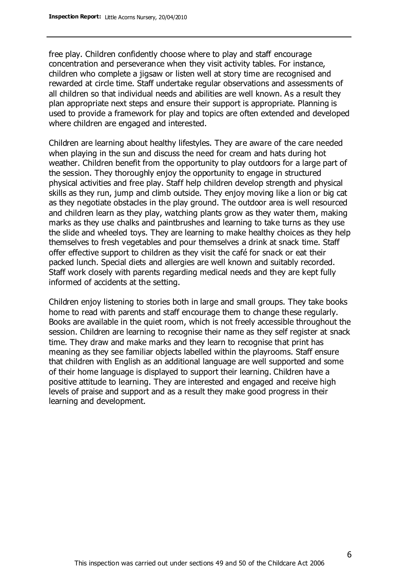free play. Children confidently choose where to play and staff encourage concentration and perseverance when they visit activity tables. For instance, children who complete a jigsaw or listen well at story time are recognised and rewarded at circle time. Staff undertake regular observations and assessments of all children so that individual needs and abilities are well known. As a result they plan appropriate next steps and ensure their support is appropriate. Planning is used to provide a framework for play and topics are often extended and developed where children are engaged and interested.

Children are learning about healthy lifestyles. They are aware of the care needed when playing in the sun and discuss the need for cream and hats during hot weather. Children benefit from the opportunity to play outdoors for a large part of the session. They thoroughly enjoy the opportunity to engage in structured physical activities and free play. Staff help children develop strength and physical skills as they run, jump and climb outside. They enjoy moving like a lion or big cat as they negotiate obstacles in the play ground. The outdoor area is well resourced and children learn as they play, watching plants grow as they water them, making marks as they use chalks and paintbrushes and learning to take turns as they use the slide and wheeled toys. They are learning to make healthy choices as they help themselves to fresh vegetables and pour themselves a drink at snack time. Staff offer effective support to children as they visit the café for snack or eat their packed lunch. Special diets and allergies are well known and suitably recorded. Staff work closely with parents regarding medical needs and they are kept fully informed of accidents at the setting.

Children enjoy listening to stories both in large and small groups. They take books home to read with parents and staff encourage them to change these regularly. Books are available in the quiet room, which is not freely accessible throughout the session. Children are learning to recognise their name as they self register at snack time. They draw and make marks and they learn to recognise that print has meaning as they see familiar objects labelled within the playrooms. Staff ensure that children with English as an additional language are well supported and some of their home language is displayed to support their learning. Children have a positive attitude to learning. They are interested and engaged and receive high levels of praise and support and as a result they make good progress in their learning and development.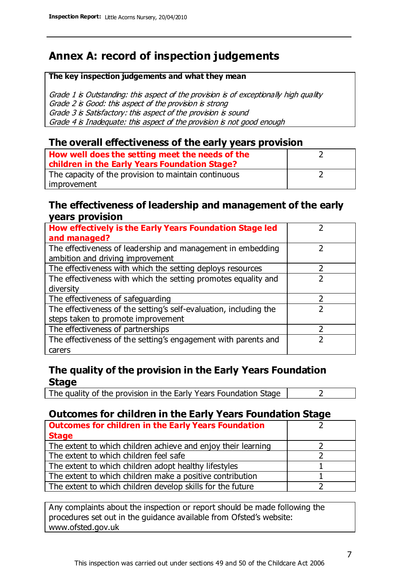# **Annex A: record of inspection judgements**

#### **The key inspection judgements and what they mean**

Grade 1 is Outstanding: this aspect of the provision is of exceptionally high quality Grade 2 is Good: this aspect of the provision is strong Grade 3 is Satisfactory: this aspect of the provision is sound Grade 4 is Inadequate: this aspect of the provision is not good enough

#### **The overall effectiveness of the early years provision**

| How well does the setting meet the needs of the      |  |
|------------------------------------------------------|--|
| children in the Early Years Foundation Stage?        |  |
| The capacity of the provision to maintain continuous |  |
| improvement                                          |  |

#### **The effectiveness of leadership and management of the early years provision**

| How effectively is the Early Years Foundation Stage led           |   |
|-------------------------------------------------------------------|---|
| and managed?                                                      |   |
| The effectiveness of leadership and management in embedding       |   |
| ambition and driving improvement                                  |   |
| The effectiveness with which the setting deploys resources        |   |
| The effectiveness with which the setting promotes equality and    |   |
| diversity                                                         |   |
| The effectiveness of safeguarding                                 | 2 |
| The effectiveness of the setting's self-evaluation, including the | 2 |
| steps taken to promote improvement                                |   |
| The effectiveness of partnerships                                 |   |
| The effectiveness of the setting's engagement with parents and    |   |
| carers                                                            |   |

### **The quality of the provision in the Early Years Foundation Stage**

The quality of the provision in the Early Years Foundation Stage  $\vert$  2

## **Outcomes for children in the Early Years Foundation Stage**

| <b>Outcomes for children in the Early Years Foundation</b>    |  |
|---------------------------------------------------------------|--|
| <b>Stage</b>                                                  |  |
| The extent to which children achieve and enjoy their learning |  |
| The extent to which children feel safe                        |  |
| The extent to which children adopt healthy lifestyles         |  |
| The extent to which children make a positive contribution     |  |
| The extent to which children develop skills for the future    |  |

Any complaints about the inspection or report should be made following the procedures set out in the guidance available from Ofsted's website: www.ofsted.gov.uk